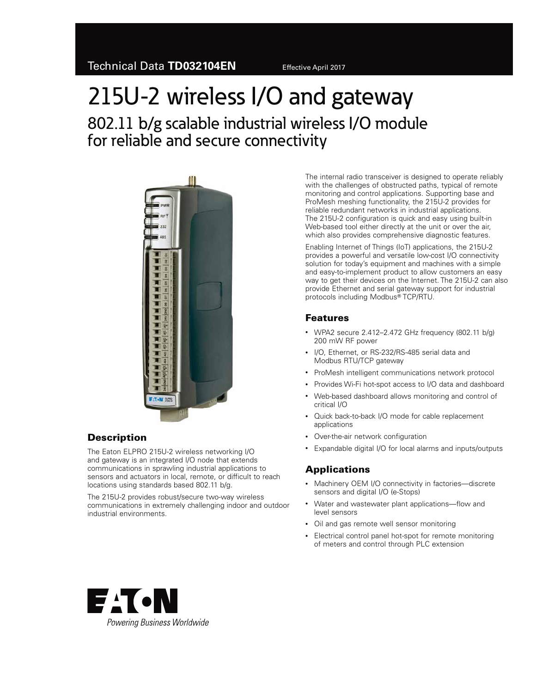# 215U-2 wireless I/O and gateway

802.11 b/g scalable industrial wireless I/O module for reliable and secure connectivity



#### **Description**

The Eaton ELPRO 215U-2 wireless networking I/O and gateway is an integrated I/O node that extends communications in sprawling industrial applications to sensors and actuators in local, remote, or difficult to reach locations using standards based 802.11 b/g.

The 215U-2 provides robust/secure two-way wireless communications in extremely challenging indoor and outdoor industrial environments.

The internal radio transceiver is designed to operate reliably with the challenges of obstructed paths, typical of remote monitoring and control applications. Supporting base and ProMesh meshing functionality, the 215U-2 provides for reliable redundant networks in industrial applications. The 215U-2 configuration is quick and easy using built-in Web-based tool either directly at the unit or over the air, which also provides comprehensive diagnostic features.

Enabling Internet of Things (IoT) applications, the 215U-2 provides a powerful and versatile low-cost I/O connectivity solution for today's equipment and machines with a simple and easy-to-implement product to allow customers an easy way to get their devices on the Internet. The 215U-2 can also provide Ethernet and serial gateway support for industrial protocols including Modbus® TCP/RTU.

#### **Features**

- WPA2 secure 2.412–2.472 GHz frequency (802.11 b/g) 200 mW RF power
- I/O, Ethernet, or RS-232/RS-485 serial data and Modbus RTU/TCP gateway
- ProMesh intelligent communications network protocol
- Provides Wi-Fi hot-spot access to I/O data and dashboard
- Web-based dashboard allows monitoring and control of critical I/O
- Quick back-to-back I/O mode for cable replacement applications
- Over-the-air network configuration
- Expandable digital I/O for local alarms and inputs/outputs

# **Applications**

- Machinery OEM I/O connectivity in factories—discrete sensors and digital I/O (e-Stops)
- Water and wastewater plant applications—flow and level sensors
- Oil and gas remote well sensor monitoring
- Electrical control panel hot-spot for remote monitoring of meters and control through PLC extension

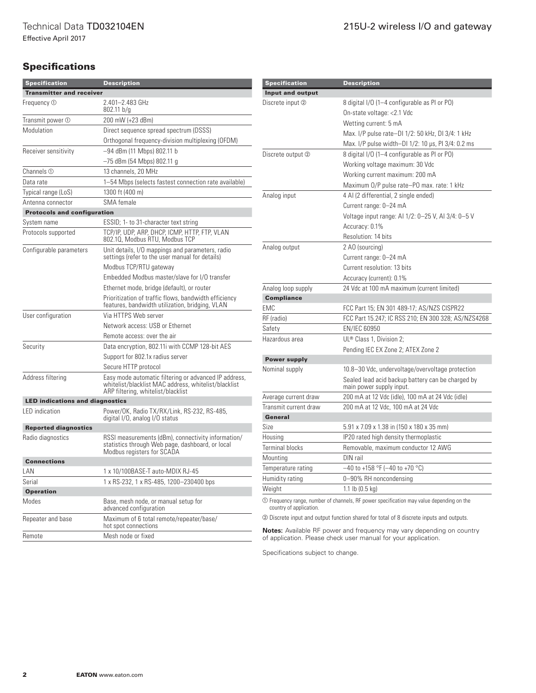### **Specifications**

| <b>Specification</b>                   | <b>Description</b>                                                                                                                                  |                |  |  |
|----------------------------------------|-----------------------------------------------------------------------------------------------------------------------------------------------------|----------------|--|--|
| <b>Transmitter and receiver</b>        |                                                                                                                                                     |                |  |  |
| Frequency ①                            | 2.401-2.483 GHz<br>802.11 b/g                                                                                                                       |                |  |  |
| Transmit power $\mathbb O$             | 200 mW (+23 dBm)                                                                                                                                    |                |  |  |
| Modulation                             | Direct sequence spread spectrum (DSSS)                                                                                                              |                |  |  |
|                                        | Orthogonal frequency-division multiplexing (OFDM)                                                                                                   |                |  |  |
| Receiver sensitivity                   | -94 dBm (11 Mbps) 802.11 b                                                                                                                          | D              |  |  |
|                                        | -75 dBm (54 Mbps) 802.11 g                                                                                                                          |                |  |  |
| Channels ①                             | 13 channels, 20 MHz                                                                                                                                 |                |  |  |
| Data rate                              | 1–54 Mbps (selects fastest connection rate available)                                                                                               |                |  |  |
| Typical range (LoS)                    | 1300 ft (400 m)                                                                                                                                     |                |  |  |
| Antenna connector                      | SMA female                                                                                                                                          | А              |  |  |
| <b>Protocols and configuration</b>     |                                                                                                                                                     |                |  |  |
| System name                            | ESSID; 1- to 31-character text string                                                                                                               |                |  |  |
| Protocols supported                    | TCP/IP, UDP, ARP, DHCP, ICMP, HTTP, FTP, VLAN<br>802.10, Modbus RTU, Modbus TCP                                                                     |                |  |  |
| Configurable parameters                | Unit details, I/O mappings and parameters, radio<br>settings (refer to the user manual for details)                                                 | А              |  |  |
|                                        | Modbus TCP/RTU gateway                                                                                                                              |                |  |  |
|                                        | Embedded Modbus master/slave for I/O transfer                                                                                                       |                |  |  |
|                                        | Ethernet mode, bridge (default), or router                                                                                                          | A              |  |  |
|                                        | Prioritization of traffic flows, bandwidth efficiency<br>features, bandwidth utilization, bridging, VLAN                                            | EI             |  |  |
| User configuration                     | Via HTTPS Web server                                                                                                                                | R <sub>l</sub> |  |  |
|                                        | Network access: USB or Ethernet                                                                                                                     | S              |  |  |
|                                        | Remote access: over the air                                                                                                                         | H.             |  |  |
| Security                               | Data encryption, 802.11i with CCMP 128-bit AES                                                                                                      |                |  |  |
|                                        | Support for 802.1x radius server                                                                                                                    |                |  |  |
|                                        | Secure HTTP protocol                                                                                                                                | N              |  |  |
| Address filtering                      | Easy mode automatic filtering or advanced IP address,<br>whitelist/blacklist MAC address, whitelist/blacklist<br>ARP filtering, whitelist/blacklist |                |  |  |
| <b>LED indications and diagnostics</b> |                                                                                                                                                     | A              |  |  |
| <b>LED</b> indication                  | Power/OK, Radio TX/RX/Link, RS-232, RS-485,<br>digital I/O, analog I/O status                                                                       | Tr             |  |  |
| <b>Reported diagnostics</b>            |                                                                                                                                                     | Si             |  |  |
| Radio diagnostics                      | RSSI measurements (dBm), connectivity information/<br>statistics through Web page, dashboard, or local<br>Modbus registers for SCADA                | Н<br>Τ         |  |  |
| <b>Connections</b>                     |                                                                                                                                                     | M              |  |  |
| LAN                                    | 1 x 10/100BASE-I auto-MDIX RJ-45                                                                                                                    | Tε             |  |  |
| Serial                                 | 1 x RS-232, 1 x RS-485, 1200-230400 bps                                                                                                             | Н              |  |  |
| <b>Operation</b>                       |                                                                                                                                                     | W              |  |  |
| Modes                                  | Base, mesh node, or manual setup for<br>advanced configuration                                                                                      | Œ              |  |  |
| Repeater and base                      | Maximum of 6 total remote/repeater/base/<br>hot spot connections                                                                                    | C<br>N         |  |  |
| Remote                                 | Mesh node or fixed                                                                                                                                  | O.             |  |  |

| <b>Specification</b>    | <b>Description</b>                                                                            |  |
|-------------------------|-----------------------------------------------------------------------------------------------|--|
| <b>Input and output</b> |                                                                                               |  |
| Discrete input ②        | 8 digital I/O (1-4 configurable as PI or PO)                                                  |  |
|                         | On-state voltage: <2.1 Vdc                                                                    |  |
|                         | Wetting current: 5 mA                                                                         |  |
|                         | Max. I/P pulse rate-DI 1/2: 50 kHz, DI 3/4: 1 kHz                                             |  |
|                         | Max. I/P pulse width-DI 1/2: 10 µs, PI 3/4: 0.2 ms                                            |  |
| Discrete output ②       | 8 digital I/O (1-4 configurable as PI or PO)                                                  |  |
|                         | Working voltage maximum: 30 Vdc                                                               |  |
|                         | Working current maximum: 200 mA                                                               |  |
|                         | Maximum 0/P pulse rate-P0 max. rate: 1 kHz                                                    |  |
| Analog input            | 4 AI (2 differential, 2 single ended)                                                         |  |
|                         | Current range: 0-24 mA                                                                        |  |
|                         | Voltage input range: AI 1/2: 0-25 V, AI 3/4: 0-5 V                                            |  |
|                         | Accuracy: 0.1%                                                                                |  |
|                         | Resolution: 14 bits                                                                           |  |
| Analog output           | 2 AO (sourcing)                                                                               |  |
|                         | Current range: 0-24 mA                                                                        |  |
|                         | Current resolution: 13 bits                                                                   |  |
|                         | Accuracy (current): 0.1%                                                                      |  |
| Analog loop supply      | 24 Vdc at 100 mA maximum (current limited)                                                    |  |
| <b>Compliance</b>       |                                                                                               |  |
| EMC                     | FCC Part 15; EN 301 489-17; AS/NZS CISPR22                                                    |  |
| RF (radio)              | FCC Part 15.247; IC RSS 210; EN 300 328; AS/NZS4268                                           |  |
| Safety                  | EN/IEC 60950                                                                                  |  |
| Hazardous area          | UL® Class 1, Division 2;                                                                      |  |
|                         | Pending IEC EX Zone 2; ATEX Zone 2                                                            |  |
| <b>Power supply</b>     |                                                                                               |  |
| Nominal supply          | 10.8-30 Vdc, undervoltage/overvoltage protection                                              |  |
|                         | Sealed lead acid backup battery can be charged by<br>main power supply input.                 |  |
| Average current draw    | 200 mA at 12 Vdc (idle), 100 mA at 24 Vdc (idle)                                              |  |
| Transmit current draw   | 200 mA at 12 Vdc, 100 mA at 24 Vdc                                                            |  |
| General                 |                                                                                               |  |
| Size                    | 5.91 x 7.09 x 1.38 in (150 x 180 x 35 mm)                                                     |  |
| Housing                 | IP20 rated high density thermoplastic                                                         |  |
| <b>Terminal blocks</b>  | Removable, maximum conductor 12 AWG                                                           |  |
| Mounting                | DIN rail                                                                                      |  |
| Temperature rating      | $-40$ to +158 °F (-40 to +70 °C)                                                              |  |
| Humidity rating         | 0-90% RH noncondensing                                                                        |  |
| Weight                  | 1.1 lb (0.5 kg)                                                                               |  |
| country of application. | $\Phi$ Frequency range, number of channels, RF power specification may value depending on the |  |

Discrete input and output function shared for total of 8 discrete inputs and outputs.

**Notes:** Available RF power and frequency may vary depending on country of application. Please check user manual for your application.

Specifications subject to change.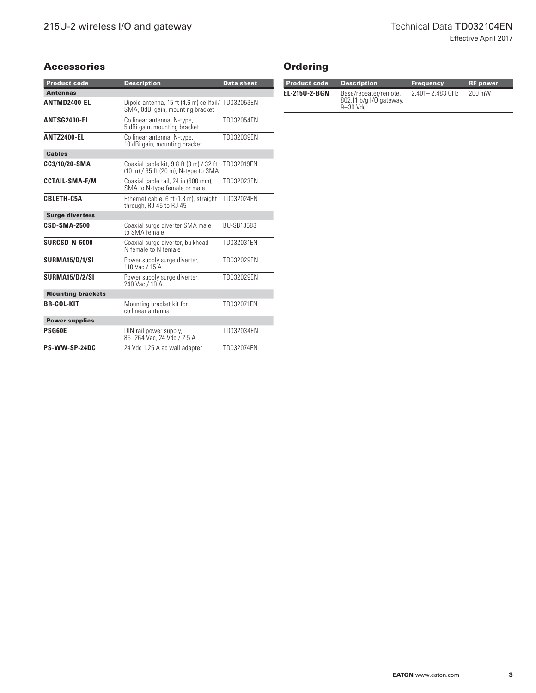Effective April 2017

#### **Accessories**

| <b>Product code</b>      | <b>Description</b>                                                                     | <b>Data sheet</b> |
|--------------------------|----------------------------------------------------------------------------------------|-------------------|
| <b>Antennas</b>          |                                                                                        |                   |
| ANTMD2400-EL             | Dipole antenna, 15 ft (4.6 m) cellfoil/ TD032053EN<br>SMA, OdBi gain, mounting bracket |                   |
| ANTSG2400-EL             | Collinear antenna, N-type,<br>5 dBi gain, mounting bracket                             | TD032054EN        |
| <b>ANTZ2400-EL</b>       | Collinear antenna, N-type,<br>10 dBi gain, mounting bracket                            | TD032039EN        |
| <b>Cables</b>            |                                                                                        |                   |
| CC3/10/20-SMA            | Coaxial cable kit, 9.8 ft (3 m) / 32 ft<br>(10 m) / 65 ft (20 m), N-type to SMA        | TD032019EN        |
| <b>CCTAIL-SMA-F/M</b>    | Coaxial cable tail, 24 in (600 mm),<br>SMA to N-type female or male                    | TD032023EN        |
| <b>CBLETH-C5A</b>        | Ethernet cable, 6 ft (1.8 m), straight<br>through, RJ 45 to RJ 45                      | TD032024EN        |
| <b>Surge diverters</b>   |                                                                                        |                   |
| <b>CSD-SMA-2500</b>      | Coaxial surge diverter SMA male<br>to SMA female                                       | BU-SB13583        |
| SURCSD-N-6000            | Coaxial surge diverter, bulkhead<br>N female to N female                               | TD032031EN        |
| SURMA15/D/1/SI           | Power supply surge diverter,<br>110 Vac / 15 A                                         | TD032029EN        |
| SURMA15/D/2/SI           | Power supply surge diverter,<br>240 Vac / 10 A                                         | TD032029EN        |
| <b>Mounting brackets</b> |                                                                                        |                   |
| <b>BR-COL-KIT</b>        | Mounting bracket kit for<br>collinear antenna                                          | TD032071EN        |
| <b>Power supplies</b>    |                                                                                        |                   |
| <b>PSG60E</b>            | DIN rail power supply,<br>85-264 Vac, 24 Vdc / 2.5 A                                   | TD032034EN        |
| PS-WW-SP-24DC            | 24 Vdc 1.25 A ac wall adapter                                                          | TD032074EN        |

## **Ordering**

| <b>Product code</b>  | <b>Description</b>                                                | <b>Frequency</b>    | <b>RF</b> power |
|----------------------|-------------------------------------------------------------------|---------------------|-----------------|
| <b>EL-215U-2-BGN</b> | Base/repeater/remote,<br>802.11 b/g l/0 gateway,<br>$9 - 30$ Vdc. | $2.401 - 2.483$ GHz | 200 mW          |